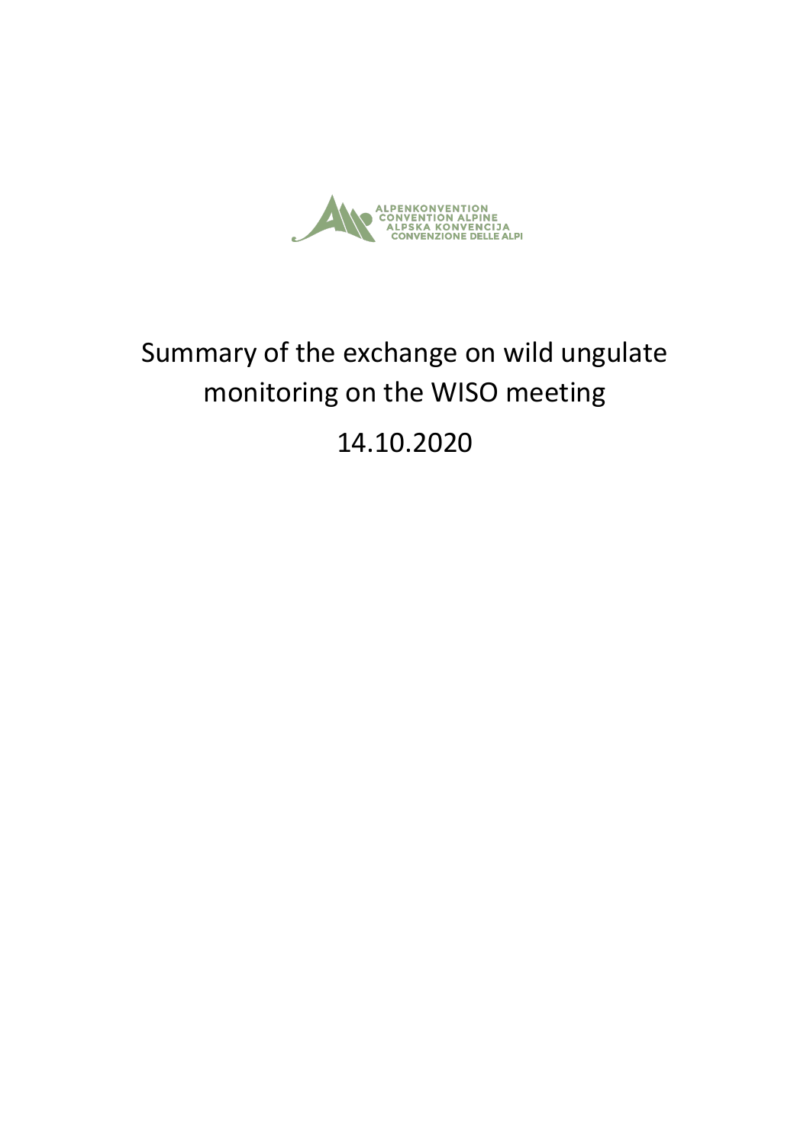

# Summary of the exchange on wild ungulate monitoring on the WISO meeting

14.10.2020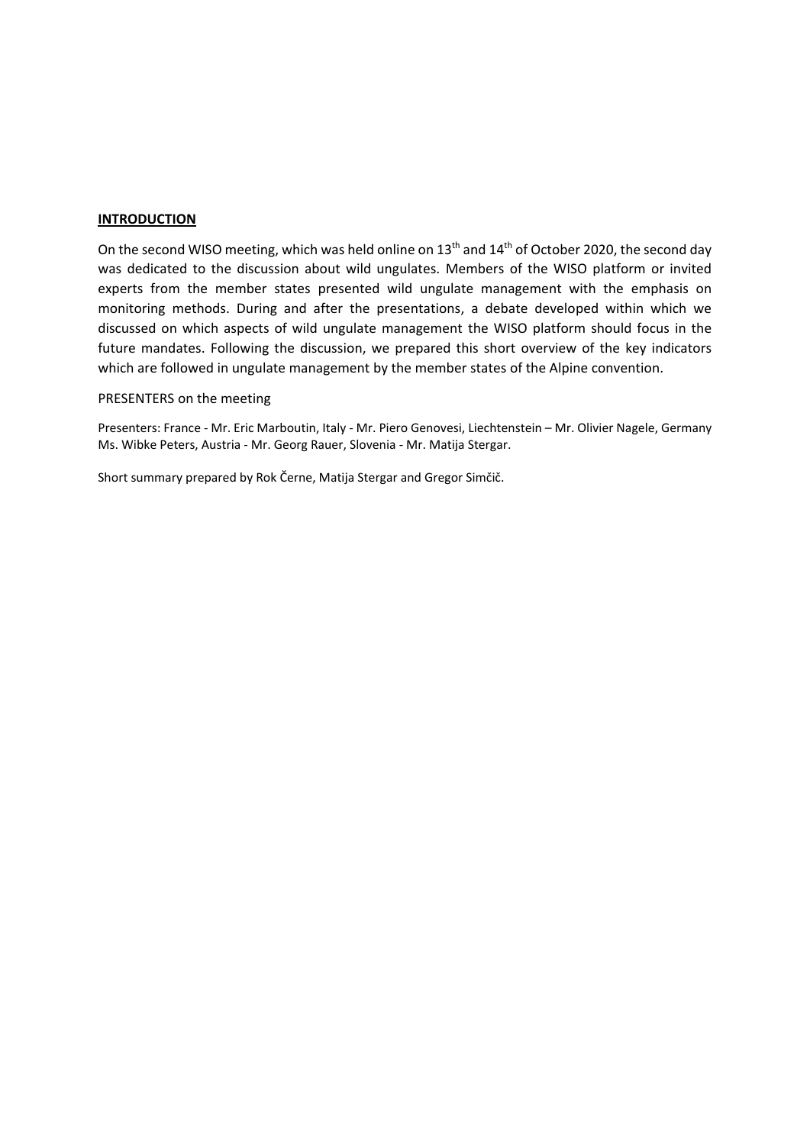#### **INTRODUCTION**

On the second WISO meeting, which was held online on 13<sup>th</sup> and 14<sup>th</sup> of October 2020, the second day was dedicated to the discussion about wild ungulates. Members of the WISO platform or invited experts from the member states presented wild ungulate management with the emphasis on monitoring methods. During and after the presentations, a debate developed within which we discussed on which aspects of wild ungulate management the WISO platform should focus in the future mandates. Following the discussion, we prepared this short overview of the key indicators which are followed in ungulate management by the member states of the Alpine convention.

#### PRESENTERS on the meeting

Presenters: France - Mr. Eric Marboutin, Italy - Mr. Piero Genovesi, Liechtenstein – Mr. Olivier Nagele, Germany Ms. Wibke Peters, Austria - Mr. Georg Rauer, Slovenia - Mr. Matija Stergar.

Short summary prepared by Rok Černe, Matija Stergar and Gregor Simčič.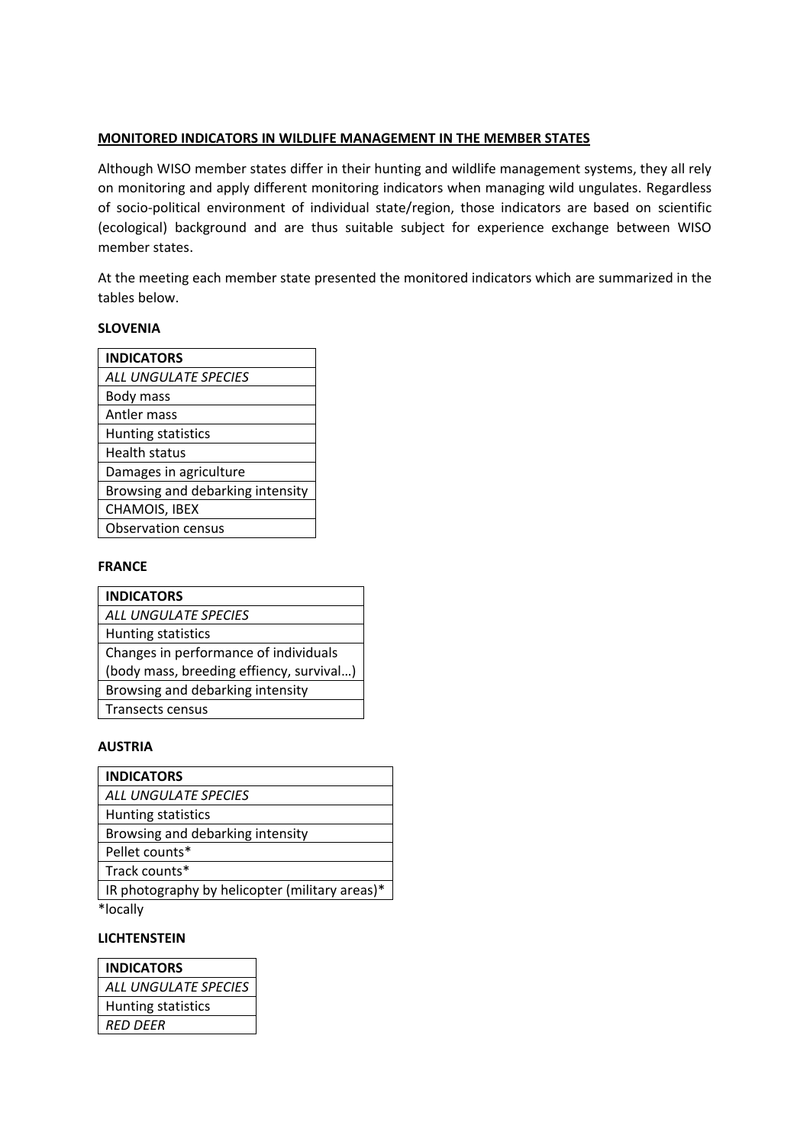# **MONITORED INDICATORS IN WILDLIFE MANAGEMENT IN THE MEMBER STATES**

Although WISO member states differ in their hunting and wildlife management systems, they all rely on monitoring and apply different monitoring indicators when managing wild ungulates. Regardless of socio-political environment of individual state/region, those indicators are based on scientific (ecological) background and are thus suitable subject for experience exchange between WISO member states.

At the meeting each member state presented the monitored indicators which are summarized in the tables below.

#### **SLOVENIA**

| <b>INDICATORS</b>                |
|----------------------------------|
| ALL UNGULATE SPECIES             |
| Body mass                        |
| Antler mass                      |
| Hunting statistics               |
| <b>Health status</b>             |
| Damages in agriculture           |
| Browsing and debarking intensity |
| <b>CHAMOIS, IBEX</b>             |
| <b>Observation census</b>        |

# **FRANCE**

| <b>INDICATORS</b>                        |
|------------------------------------------|
| ALL UNGULATE SPECIES                     |
| Hunting statistics                       |
| Changes in performance of individuals    |
| (body mass, breeding effiency, survival) |
| Browsing and debarking intensity         |
| <b>Transects census</b>                  |

#### **AUSTRIA**

| <b>INDICATORS</b>                              |
|------------------------------------------------|
| ALL UNGULATE SPECIES                           |
| Hunting statistics                             |
| Browsing and debarking intensity               |
| Pellet counts*                                 |
| Track counts*                                  |
| IR photography by helicopter (military areas)* |
| *locally                                       |

## **LICHTENSTEIN**

| <b>INDICATORS</b>    |
|----------------------|
| ALL UNGULATE SPECIES |
| Hunting statistics   |
| RED DEER             |
|                      |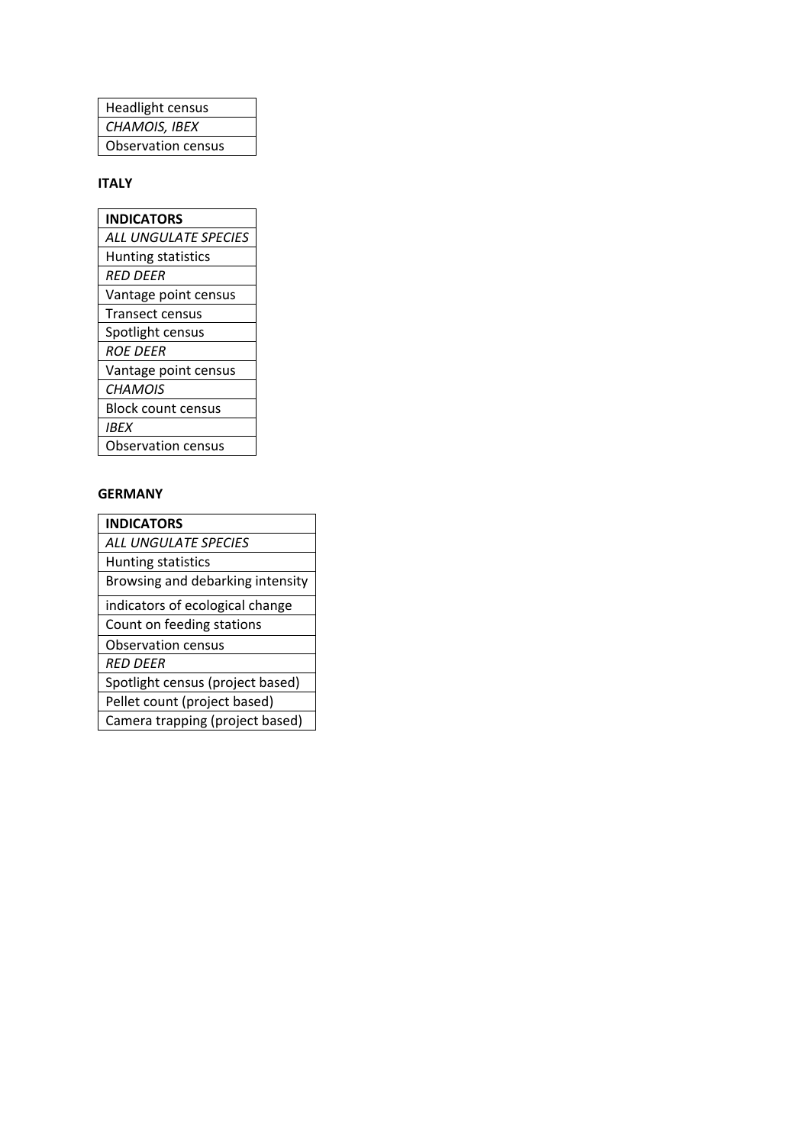| <b>Headlight census</b>   |
|---------------------------|
| CHAMOIS, IBEX             |
| <b>Observation census</b> |

# **ITALY**

| INDICATORS                |
|---------------------------|
| ALL UNGULATE SPECIES      |
| <b>Hunting statistics</b> |
| <b>RED DEER</b>           |
| Vantage point census      |
| <b>Transect census</b>    |
| Spotlight census          |
| ROE DEER                  |
| Vantage point census      |
| CHAMOIS                   |
| <b>Block count census</b> |
| <b>IBEX</b>               |
| <b>Observation census</b> |

# **GERMANY**

| <b>INDICATORS</b>                |
|----------------------------------|
| ALL UNGULATE SPECIES             |
| Hunting statistics               |
| Browsing and debarking intensity |
| indicators of ecological change  |
| Count on feeding stations        |
| Observation census               |
| RED DEER                         |
| Spotlight census (project based) |
| Pellet count (project based)     |
| Camera trapping (project based)  |
|                                  |